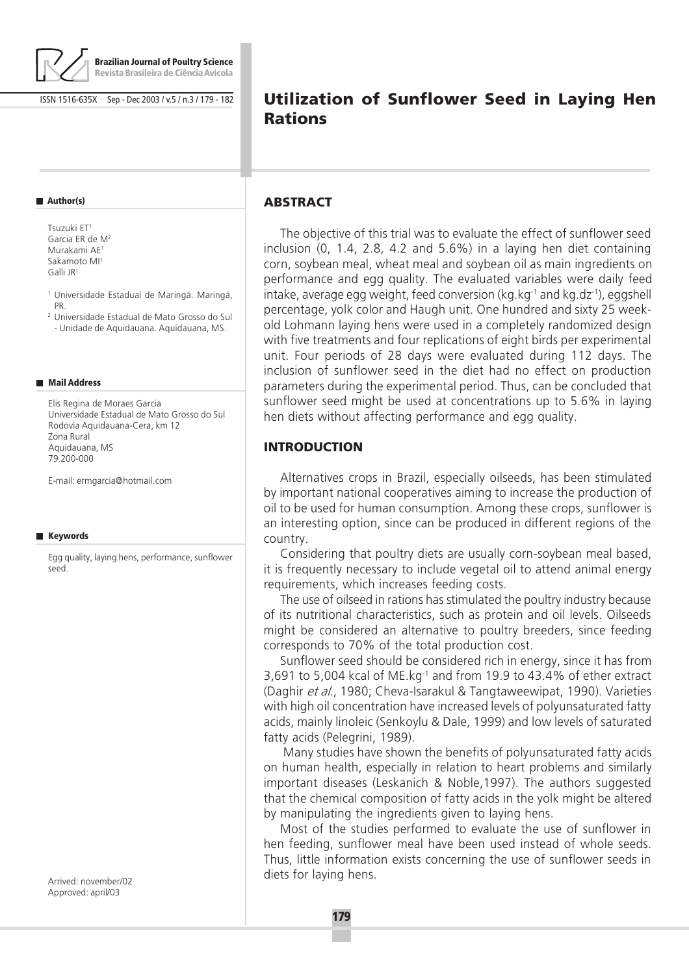

ISSN 1516-635X Sep - Dec 2003 / v.5 / n.3 / 179 - 182

#### **Author(s)**

Tsuzuki ET1 Garcia ER de M2 Murakami AE1 Sakamoto MI1 Galli JR1

<sup>1</sup> Universidade Estadual de Maringá. Maringá, PR.

<sup>2</sup> Universidade Estadual de Mato Grosso do Sul - Unidade de Aquidauana. Aquidauana, MS.

#### **Mail Address**

Elis Regina de Moraes Garcia Universidade Estadual de Mato Grosso do Sul Rodovia Aquidauana-Cera, km 12 Zona Rural Aquidauana, MS 79.200-000

E-mail: ermgarcia@hotmail.com

#### **Keywords**

Egg quality, laying hens, performance, sunflower seed.

# **Utilization of Sunflower Seed in Laying Hen Rations**

#### **ABSTRACT**

The objective of this trial was to evaluate the effect of sunflower seed inclusion (0, 1.4, 2.8, 4.2 and 5.6%) in a laying hen diet containing corn, soybean meal, wheat meal and soybean oil as main ingredients on performance and egg quality. The evaluated variables were daily feed intake, average egg weight, feed conversion (kg.kg $^{-1}$  and kg.dz $^{-1}$ ), eggshell percentage, yolk color and Haugh unit. One hundred and sixty 25 weekold Lohmann laying hens were used in a completely randomized design with five treatments and four replications of eight birds per experimental unit. Four periods of 28 days were evaluated during 112 days. The inclusion of sunflower seed in the diet had no effect on production parameters during the experimental period. Thus, can be concluded that sunflower seed might be used at concentrations up to 5.6% in laying hen diets without affecting performance and egg quality.

#### **INTRODUCTION**

Alternatives crops in Brazil, especially oilseeds, has been stimulated by important national cooperatives aiming to increase the production of oil to be used for human consumption. Among these crops, sunflower is an interesting option, since can be produced in different regions of the country.

Considering that poultry diets are usually corn-soybean meal based, it is frequently necessary to include vegetal oil to attend animal energy requirements, which increases feeding costs.

The use of oilseed in rations has stimulated the poultry industry because of its nutritional characteristics, such as protein and oil levels. Oilseeds might be considered an alternative to poultry breeders, since feeding corresponds to 70% of the total production cost.

Sunflower seed should be considered rich in energy, since it has from 3,691 to 5,004 kcal of ME.kg-1 and from 19.9 to 43.4% of ether extract (Daghir et al., 1980; Cheva-Isarakul & Tangtaweewipat, 1990). Varieties with high oil concentration have increased levels of polyunsaturated fatty acids, mainly linoleic (Senkoylu & Dale, 1999) and low levels of saturated fatty acids (Pelegrini, 1989).

 Many studies have shown the benefits of polyunsaturated fatty acids on human health, especially in relation to heart problems and similarly important diseases (Leskanich & Noble,1997). The authors suggested that the chemical composition of fatty acids in the yolk might be altered by manipulating the ingredients given to laying hens.

Most of the studies performed to evaluate the use of sunflower in hen feeding, sunflower meal have been used instead of whole seeds. Thus, little information exists concerning the use of sunflower seeds in diets for laying hens.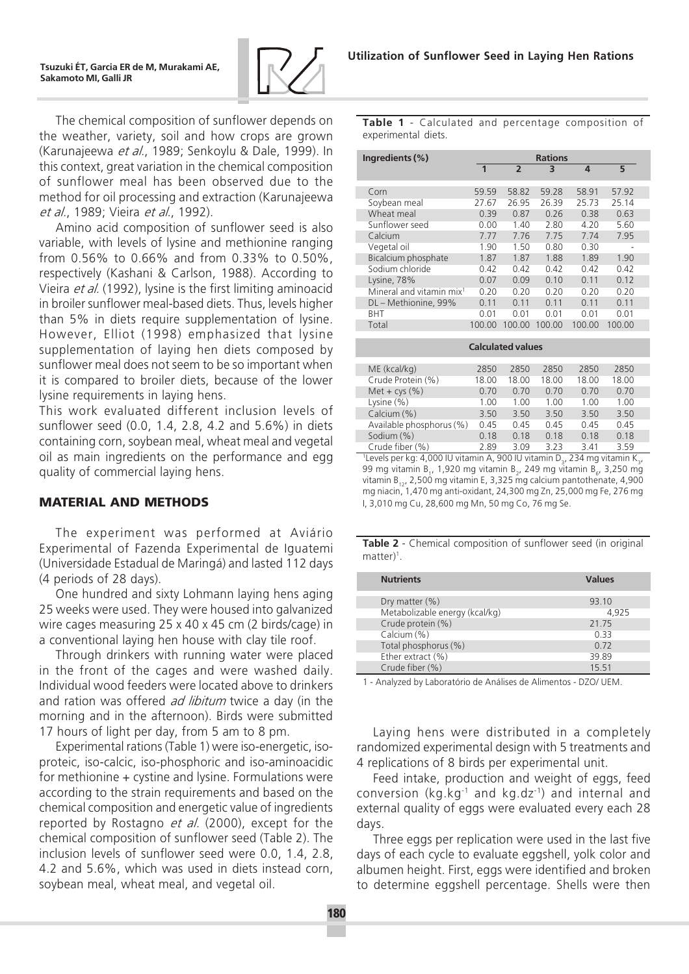

The chemical composition of sunflower depends on the weather, variety, soil and how crops are grown (Karunajeewa et al., 1989; Senkoylu & Dale, 1999). In this context, great variation in the chemical composition of sunflower meal has been observed due to the method for oil processing and extraction (Karunajeewa et al., 1989; Vieira et al., 1992).

Amino acid composition of sunflower seed is also variable, with levels of lysine and methionine ranging from 0.56% to 0.66% and from 0.33% to 0.50%, respectively (Kashani & Carlson, 1988). According to Vieira *et al.* (1992), lysine is the first limiting aminoacid in broiler sunflower meal-based diets. Thus, levels higher than 5% in diets require supplementation of lysine. However, Elliot (1998) emphasized that lysine supplementation of laying hen diets composed by sunflower meal does not seem to be so important when it is compared to broiler diets, because of the lower lysine requirements in laying hens.

This work evaluated different inclusion levels of sunflower seed (0.0, 1.4, 2.8, 4.2 and 5.6%) in diets containing corn, soybean meal, wheat meal and vegetal oil as main ingredients on the performance and egg quality of commercial laying hens.

#### **MATERIAL AND METHODS**

The experiment was performed at Aviário Experimental of Fazenda Experimental de Iguatemi (Universidade Estadual de Maringá) and lasted 112 days (4 periods of 28 days).

One hundred and sixty Lohmann laying hens aging 25 weeks were used. They were housed into galvanized wire cages measuring 25 x 40 x 45 cm (2 birds/cage) in a conventional laying hen house with clay tile roof.

Through drinkers with running water were placed in the front of the cages and were washed daily. Individual wood feeders were located above to drinkers and ration was offered *ad libitum* twice a day (in the morning and in the afternoon). Birds were submitted 17 hours of light per day, from 5 am to 8 pm.

Experimental rations (Table 1) were iso-energetic, isoproteic, iso-calcic, iso-phosphoric and iso-aminoacidic for methionine + cystine and lysine. Formulations were according to the strain requirements and based on the chemical composition and energetic value of ingredients reported by Rostagno *et al.* (2000), except for the chemical composition of sunflower seed (Table 2). The inclusion levels of sunflower seed were 0.0, 1.4, 2.8, 4.2 and 5.6%, which was used in diets instead corn, soybean meal, wheat meal, and vegetal oil.

Table 1 - Calculated and percentage composition of experimental diets.

| Ingredients (%)                      | <b>Rations</b> |                |        |        |        |  |  |  |  |
|--------------------------------------|----------------|----------------|--------|--------|--------|--|--|--|--|
|                                      | $\mathbf{1}$   | $\overline{2}$ | 3      | 4      | 5      |  |  |  |  |
| Corn                                 | 59.59          | 58.82          | 59.28  | 58.91  | 57.92  |  |  |  |  |
| Soybean meal                         | 27.67          | 26.95          | 26.39  | 25.73  | 25.14  |  |  |  |  |
| Wheat meal                           | 0.39           | 0.87           | 0.26   | 0.38   | 0.63   |  |  |  |  |
| Sunflower seed                       | 0.00           | 1.40           | 2.80   | 4.20   | 5.60   |  |  |  |  |
| Calcium                              | 7.77           | 7.76           | 7.75   | 7.74   | 7.95   |  |  |  |  |
| Vegetal oil                          | 1.90           | 1.50           | 0.80   | 0.30   |        |  |  |  |  |
| Bicalcium phosphate                  | 1.87           | 1.87           | 1.88   | 1.89   | 1.90   |  |  |  |  |
| Sodium chloride                      | 0.42           | 0.42           | 0.42   | 0.42   | 0.42   |  |  |  |  |
| Lysine, 78%                          | 0.07           | 0.09           | 0.10   | 0.11   | 0.12   |  |  |  |  |
| Mineral and vitamin mix <sup>1</sup> | 0.20           | 0.20           | 0.20   | 0.20   | 0.20   |  |  |  |  |
| DL - Methionine, 99%                 | 0.11           | 0.11           | 0.11   | 0.11   | 0.11   |  |  |  |  |
| <b>BHT</b>                           | 0.01           | 0.01           | 0.01   | 0.01   | 0.01   |  |  |  |  |
| Total                                | 100.00         | 100.00         | 100.00 | 100.00 | 100.00 |  |  |  |  |
|                                      |                |                |        |        |        |  |  |  |  |
| <b>Calculated values</b>             |                |                |        |        |        |  |  |  |  |
| ME (kcal/kg)                         | 2850           | 2850           | 2850   | 2850   | 2850   |  |  |  |  |
| Crude Protein (%)                    | 18.00          | 18.00          | 18.00  | 18.00  | 18.00  |  |  |  |  |
| Met + $\text{cys}$ $(\%)$            | 0.70           | 0.70           | 0.70   | 0.70   | 0.70   |  |  |  |  |
| Lysine $(\%)$                        | 1.00           | 1.00           | 1.00   | 1.00   | 1.00   |  |  |  |  |
| Calcium (%)                          | 3.50           | 3.50           | 3.50   | 3.50   | 3.50   |  |  |  |  |
| Available phosphorus (%)             | 0.45           | 0.45           | 0.45   | 0.45   | 0.45   |  |  |  |  |
| Sodium (%)                           | 0.18           | 0.18           | 0.18   | 0.18   | 0.18   |  |  |  |  |
| Crude fiber (%)                      | 2.89           | 3.09           | 3.23   | 3.41   | 3.59   |  |  |  |  |

 $^{\text{1}}$ Levels per kg: 4,000 IU vitamin A, 900 IU vitamin D $_{\text{3}}$ , 234 mg vitamin K $_{\text{3}}$ , 99 mg vitamin B<sub>1</sub>, 1,920 mg vitamin B<sub>2</sub>, 249 mg vitamin B<sub>6</sub>, 3,250 mg vitamin B<sub>12</sub>, 2,500 mg vitamin E, 3,325 mg calcium pantothenate, 4,900 mg niacin, 1,470 mg anti-oxidant, 24,300 mg Zn, 25,000 mg Fe, 276 mg I, 3,010 mg Cu, 28,600 mg Mn, 50 mg Co, 76 mg Se.

Table 2 - Chemical composition of sunflower seed (in original matter<sup>1</sup>

| <b>Nutrients</b>               | <b>Values</b> |
|--------------------------------|---------------|
|                                | 93.10         |
| Dry matter (%)                 |               |
| Metabolizable energy (kcal/kg) | 4.925         |
| Crude protein (%)              | 21 75         |
| Calcium (%)                    | 0.33          |
| Total phosphorus (%)           | 0.72          |
| Ether extract (%)              | 39.89         |
| Crude fiber (%)                | 15 51         |

1 - Analyzed by Laboratório de Análises de Alimentos - DZO/ UEM.

Laying hens were distributed in a completely randomized experimental design with 5 treatments and 4 replications of 8 birds per experimental unit.

Feed intake, production and weight of eggs, feed conversion (kg.kg-1 and kg.dz-1) and internal and external quality of eggs were evaluated every each 28 days.

Three eggs per replication were used in the last five days of each cycle to evaluate eggshell, yolk color and albumen height. First, eggs were identified and broken to determine eggshell percentage. Shells were then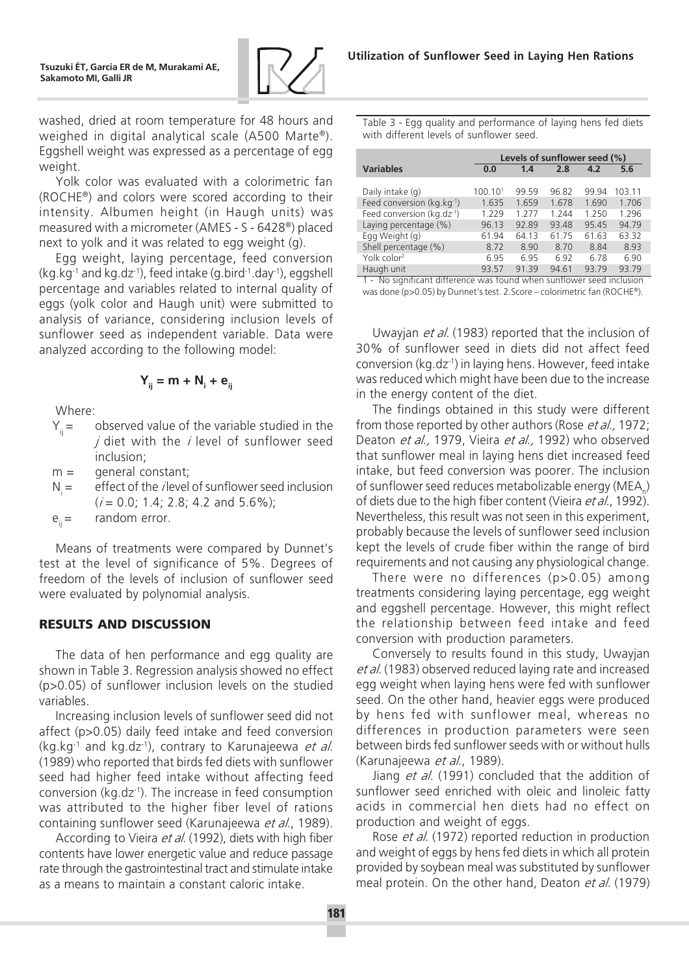

washed, dried at room temperature for 48 hours and weighed in digital analytical scale (A500 Marte®). Eggshell weight was expressed as a percentage of egg weight.

Yolk color was evaluated with a colorimetric fan (ROCHE®) and colors were scored according to their intensity. Albumen height (in Haugh units) was measured with a micrometer (AMES - S - 6428®) placed next to yolk and it was related to egg weight (g).

Egg weight, laying percentage, feed conversion  $(kq.kq<sup>-1</sup>$  and kg.dz<sup>-1</sup>), feed intake  $(q.bird<sup>-1</sup>.day<sup>-1</sup>)$ , eggshell percentage and variables related to internal quality of eggs (yolk color and Haugh unit) were submitted to analysis of variance, considering inclusion levels of sunflower seed as independent variable. Data were analyzed according to the following model:

$$
Y_{ij} = m + N_i + e_{ij}
$$

Where:

 $Y_{ii}$  = observed value of the variable studied in the  $i$  diet with the  $i$  level of sunflower seed inclusion;

 $m =$  general constant;

 $N_i =$  effect of the *i* level of sunflower seed inclusion  $(i = 0.0; 1.4; 2.8; 4.2$  and  $5.6\%)$ ;

 $e_{ii} =$  random error.

Means of treatments were compared by Dunnet's test at the level of significance of 5%. Degrees of freedom of the levels of inclusion of sunflower seed were evaluated by polynomial analysis.

## **RESULTS AND DISCUSSION**

The data of hen performance and egg quality are shown in Table 3. Regression analysis showed no effect (p>0.05) of sunflower inclusion levels on the studied variables.

Increasing inclusion levels of sunflower seed did not affect (p>0.05) daily feed intake and feed conversion  $(kq.kq^{-1})$  and kg.dz<sup>-1</sup>), contrary to Karunajeewa *et al.* (1989) who reported that birds fed diets with sunflower seed had higher feed intake without affecting feed conversion (kg.dz-1). The increase in feed consumption was attributed to the higher fiber level of rations containing sunflower seed (Karunajeewa et al., 1989).

According to Vieira et al. (1992), diets with high fiber contents have lower energetic value and reduce passage rate through the gastrointestinal tract and stimulate intake as a means to maintain a constant caloric intake.

Table 3 - Egg quality and performance of laying hens fed diets with different levels of sunflower seed.

|                                      |         | Levels of sunflower seed (%) |       |       |        |  |  |  |
|--------------------------------------|---------|------------------------------|-------|-------|--------|--|--|--|
| <b>Variables</b>                     | 0.0     | 1.4                          | 2.8   | 4.2   | 5.6    |  |  |  |
|                                      |         |                              |       |       |        |  |  |  |
| Daily intake (q)                     | 100.101 | 99.59                        | 96.82 | 99.94 | 103.11 |  |  |  |
| Feed conversion ( $kg$ . $kg^{-1}$ ) | 1.635   | 1.659                        | 1.678 | 1.690 | 1.706  |  |  |  |
| Feed conversion ( $kg.dz^{-1}$ )     | 1.229   | 1 277                        | 1.244 | 1 250 | 1.296  |  |  |  |
| Laying percentage (%)                | 96.13   | 92.89                        | 93.48 | 95.45 | 94.79  |  |  |  |
| Egg Weight (g)                       | 61.94   | 64.13                        | 61.75 | 61.63 | 63.32  |  |  |  |
| Shell percentage (%)                 | 8.72    | 8.90                         | 8.70  | 8.84  | 8.93   |  |  |  |
| Yolk color <sup>2</sup>              | 6.95    | 6.95                         | 6.92  | 6.78  | 6.90   |  |  |  |
| Haugh unit                           | 93 57   | 9139                         | 94.61 | 9379  | 93.79  |  |  |  |

1 - No significant difference was found when sunflower seed inclusion was done (p>0.05) by Dunnet's test. 2.Score - colorimetric fan (ROCHE®).

Uwayjan *et al.* (1983) reported that the inclusion of 30% of sunflower seed in diets did not affect feed conversion (kg.dz-1) in laying hens. However, feed intake was reduced which might have been due to the increase in the energy content of the diet.

The findings obtained in this study were different from those reported by other authors (Rose *et al.*, 1972; Deaton et al., 1979, Vieira et al., 1992) who observed that sunflower meal in laying hens diet increased feed intake, but feed conversion was poorer. The inclusion of sunflower seed reduces metabolizable energy (MEA $_{\textrm{\tiny{n}}}$ ) of diets due to the high fiber content (Vieira et al., 1992). Nevertheless, this result was not seen in this experiment, probably because the levels of sunflower seed inclusion kept the levels of crude fiber within the range of bird requirements and not causing any physiological change.

There were no differences (p>0.05) among treatments considering laying percentage, egg weight and eggshell percentage. However, this might reflect the relationship between feed intake and feed conversion with production parameters.

Conversely to results found in this study, Uwayjan et al. (1983) observed reduced laying rate and increased egg weight when laying hens were fed with sunflower seed. On the other hand, heavier eggs were produced by hens fed with sunflower meal, whereas no differences in production parameters were seen between birds fed sunflower seeds with or without hulls (Karunajeewa et al., 1989).

Jiang et al. (1991) concluded that the addition of sunflower seed enriched with oleic and linoleic fatty acids in commercial hen diets had no effect on production and weight of eggs.

Rose *et al.* (1972) reported reduction in production and weight of eggs by hens fed diets in which all protein provided by soybean meal was substituted by sunflower meal protein. On the other hand, Deaton et al. (1979)